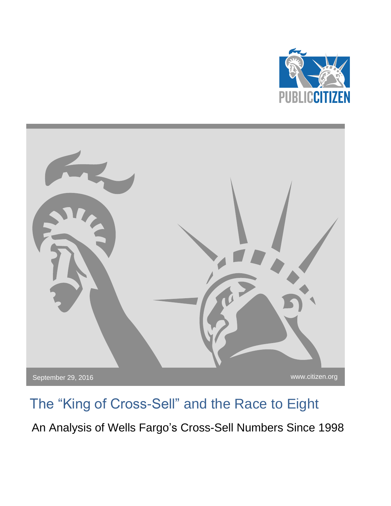



# The "King of Cross-Sell" and the Race to Eight

An Analysis of Wells Fargo's Cross-Sell Numbers Since 1998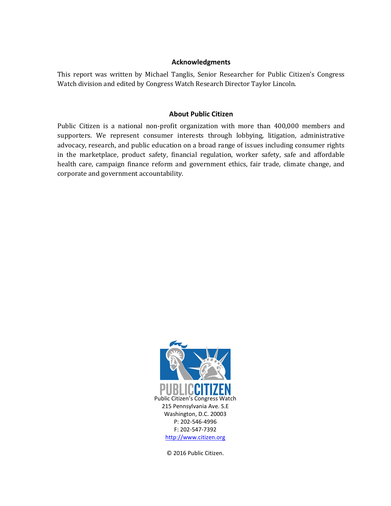#### **Acknowledgments**

This report was written by Michael Tanglis, Senior Researcher for Public Citizen's Congress Watch division and edited by Congress Watch Research Director Taylor Lincoln.

### **About Public Citizen**

Public Citizen is a national non-profit organization with more than 400,000 members and supporters. We represent consumer interests through lobbying, litigation, administrative advocacy, research, and public education on a broad range of issues including consumer rights in the marketplace, product safety, financial regulation, worker safety, safe and affordable health care, campaign finance reform and government ethics, fair trade, climate change, and corporate and government accountability.



© 2016 Public Citizen.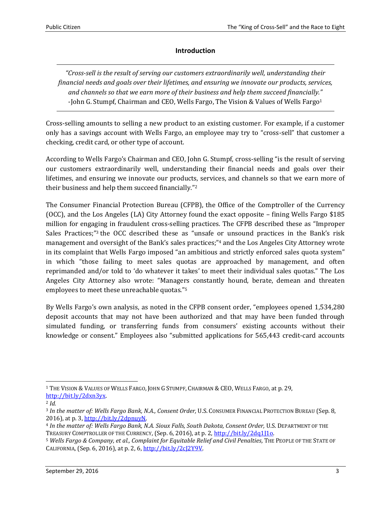## **Introduction**

*"Cross-sell is the result of serving our customers extraordinarily well, understanding their financial needs and goals over their lifetimes, and ensuring we innovate our products, services, and channels so that we earn more of their business and help them succeed financially."* -John G. Stumpf, Chairman and CEO, Wells Fargo, The Vision & Values of Wells Fargo<sup>1</sup>

Cross-selling amounts to selling a new product to an existing customer. For example, if a customer only has a savings account with Wells Fargo, an employee may try to "cross-sell" that customer a checking, credit card, or other type of account.

According to Wells Fargo's Chairman and CEO, John G. Stumpf, cross-selling "is the result of serving our customers extraordinarily well, understanding their financial needs and goals over their lifetimes, and ensuring we innovate our products, services, and channels so that we earn more of their business and help them succeed financially."<sup>2</sup>

The Consumer Financial Protection Bureau (CFPB), the Office of the Comptroller of the Currency (OCC), and the Los Angeles (LA) City Attorney found the exact opposite – fining Wells Fargo \$185 million for engaging in fraudulent cross-selling practices. The CFPB described these as "Improper Sales Practices;"<sup>3</sup> the OCC described these as "unsafe or unsound practices in the Bank's risk management and oversight of the Bank's sales practices;" <sup>4</sup> and the Los Angeles City Attorney wrote in its complaint that Wells Fargo imposed "an ambitious and strictly enforced sales quota system" in which "those failing to meet sales quotas are approached by management, and often reprimanded and/or told to 'do whatever it takes' to meet their individual sales quotas." The Los Angeles City Attorney also wrote: "Managers constantly hound, berate, demean and threaten employees to meet these unreachable quotas."<sup>5</sup>

By Wells Fargo's own analysis, as noted in the CFPB consent order, "employees opened 1,534,280 deposit accounts that may not have been authorized and that may have been funded through simulated funding, or transferring funds from consumers' existing accounts without their knowledge or consent." Employees also "submitted applications for 565,443 credit-card accounts

 $\overline{a}$ 

<sup>1</sup> THE VISION & VALUES OF WELLS FARGO, JOHN G STUMPF, CHAIRMAN & CEO, WELLS FARGO, at p. 29, [http://bit.ly/2dxn3yx.](http://bit.ly/2dxn3yx)

<sup>2</sup> *Id.*

<sup>3</sup> *In the matter of: Wells Fargo Bank, N.A., Consent Order,* U.S. CONSUMER FINANCIAL PROTECTION BUREAU (Sep. 8, 2016), at p. 3, [http://bit.ly/2dpnuyN.](http://bit.ly/2dpnuyN)

<sup>4</sup> *In the matter of: Wells Fargo Bank, N.A. Sioux Falls, South Dakota, Consent Order,* U.S. DEPARTMENT OF THE TREASURY COMPTROLLER OF THE CURRENCY, (Sep. 6, 2016), at p. 2[, http://bit.ly/2dq1J1o.](http://bit.ly/2dq1J1o)

<sup>5</sup> *Wells Fargo & Company, et al., Complaint for Equitable Relief and Civil Penalties,* THE PEOPLE OF THE STATE OF CALIFORNIA, (Sep. 6, 2016), at p. 2, 6, [http://bit.ly/2cJ2Y9V.](http://bit.ly/2cJ2Y9V)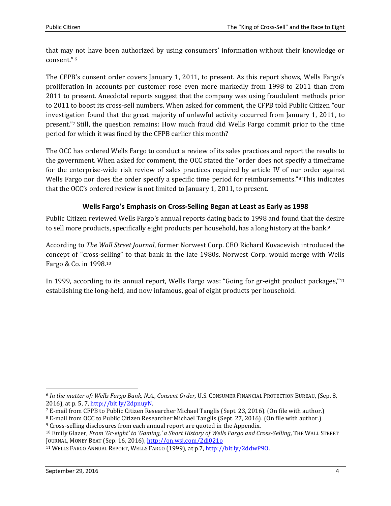that may not have been authorized by using consumers' information without their knowledge or consent." <sup>6</sup>

The CFPB's consent order covers January 1, 2011, to present. As this report shows, Wells Fargo's proliferation in accounts per customer rose even more markedly from 1998 to 2011 than from 2011 to present. Anecdotal reports suggest that the company was using fraudulent methods prior to 2011 to boost its cross-sell numbers. When asked for comment, the CFPB told Public Citizen "our investigation found that the great majority of unlawful activity occurred from January 1, 2011, to present."<sup>7</sup> Still, the question remains: How much fraud did Wells Fargo commit prior to the time period for which it was fined by the CFPB earlier this month?

The OCC has ordered Wells Fargo to conduct a review of its sales practices and report the results to the government. When asked for comment, the OCC stated the "order does not specify a timeframe for the enterprise-wide risk review of sales practices required by article IV of our order against Wells Fargo nor does the order specify a specific time period for reimbursements."<sup>8</sup> This indicates that the OCC's ordered review is not limited to January 1, 2011, to present.

# **Wells Fargo's Emphasis on Cross-Selling Began at Least as Early as 1998**

Public Citizen reviewed Wells Fargo's annual reports dating back to 1998 and found that the desire to sell more products, specifically eight products per household, has a long history at the bank.<sup>9</sup>

According to *The Wall Street Journal*, former Norwest Corp. CEO Richard Kovacevish introduced the concept of "cross-selling" to that bank in the late 1980s. Norwest Corp. would merge with Wells Fargo & Co. in 1998.<sup>10</sup>

In 1999, according to its annual report, Wells Fargo was: "Going for gr-eight product packages,"<sup>11</sup> establishing the long-held, and now infamous, goal of eight products per household.

<sup>6</sup> *In the matter of: Wells Fargo Bank, N.A., Consent Order,* U.S. CONSUMER FINANCIAL PROTECTION BUREAU, (Sep. 8, 2016), at p. 5, 7, [http://bit.ly/2dpnuyN.](http://bit.ly/2dpnuyN)

<sup>7</sup> E-mail from CFPB to Public Citizen Researcher Michael Tanglis (Sept. 23, 2016). (On file with author.)

<sup>8</sup> E-mail from OCC to Public Citizen Researcher Michael Tanglis (Sept. 27, 2016). (On file with author.) <sup>9</sup> Cross-selling disclosures from each annual report are quoted in the Appendix.

<sup>10</sup> Emily Glazer, *From 'Gr-eight' to 'Gaming,' a Short History of Wells Fargo and Cross-Selling*, THE WALL STREET JOURNAL, MONEY BEAT (Sep. 16, 2016)[, http://on.wsj.com/2di021o](http://on.wsj.com/2di021o)

<sup>&</sup>lt;sup>11</sup> WELLS FARGO ANNUAL REPORT, WELLS FARGO (1999), at p.7, http://bit.ly/2ddwP90.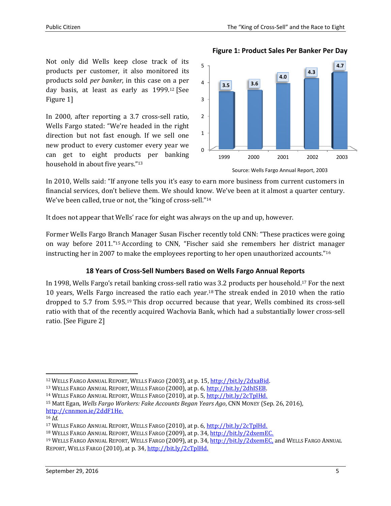**Figure 1: Product Sales Per Banker Per Day**

Not only did Wells keep close track of its products per customer, it also monitored its products sold *per banker*, in this case on a per day basis, at least as early as 1999.<sup>12</sup> [See Figure 1]

In 2000, after reporting a 3.7 cross-sell ratio, Wells Fargo stated: "We're headed in the right direction but not fast enough. If we sell one new product to every customer every year we can get to eight products per banking household in about five years."<sup>13</sup>



Source: Wells Fargo Annual Report, 2003

In 2010, Wells said: "If anyone tells you it's easy to earn more business from current customers in financial services, don't believe them. We should know. We've been at it almost a quarter century. We've been called, true or not, the "king of cross-sell."<sup>14</sup>

It does not appear that Wells' race for eight was always on the up and up, however.

Former Wells Fargo Branch Manager Susan Fischer recently told CNN: "These practices were going on way before 2011."<sup>15</sup> According to CNN, "Fischer said she remembers her district manager instructing her in 2007 to make the employees reporting to her open unauthorized accounts."<sup>16</sup>

# **18 Years of Cross-Sell Numbers Based on Wells Fargo Annual Reports**

In 1998, Wells Fargo's retail banking cross-sell ratio was 3.2 products per household.<sup>17</sup> For the next 10 years, Wells Fargo increased the ratio each year.<sup>18</sup> The streak ended in 2010 when the ratio dropped to 5.7 from 5.95. <sup>19</sup> This drop occurred because that year, Wells combined its cross-sell ratio with that of the recently acquired Wachovia Bank, which had a substantially lower cross-sell ratio. [See Figure 2]

l

<sup>12</sup> WELLS FARGO ANNUAL REPORT, WELLS FARGO (2003), at p. 15[, http://bit.ly/2dxaBid.](http://bit.ly/2dxaBid)

<sup>13</sup> WELLS FARGO ANNUAL REPORT, WELLS FARGO (2000), at p. 6, [http://bit.ly/2dhISEB.](http://bit.ly/2dhISEB)

<sup>&</sup>lt;sup>14</sup> WELLS FARGO ANNUAL REPORT, WELLS FARGO (2010), at p. 5, [http://bit.ly/2cTplHd.](http://bit.ly/2cTplHd)

<sup>15</sup> Matt Egan, *Wells Fargo Workers: Fake Accounts Began Years Ago*, CNN MONEY (Sep. 26, 2016), [http://cnnmon.ie/2ddF1He.](http://cnnmon.ie/2ddF1He)

<sup>16</sup> *Id.*

<sup>17</sup> WELLS FARGO ANNUAL REPORT, WELLS FARGO (2010), at p. 6, [http://bit.ly/2cTplHd.](http://bit.ly/2cTplHd)

<sup>&</sup>lt;sup>18</sup> WELLS FARGO ANNUAL REPORT, WELLS FARGO (2009), at p. 34, [http://bit.ly/2dxemEC.](http://bit.ly/2dxemEC)

<sup>&</sup>lt;sup>19</sup> WELLS FARGO ANNUAL REPORT, WELLS FARGO (2009), at p. 34, [http://bit.ly/2dxemEC,](http://bit.ly/2dxemEC) and WELLS FARGO ANNUAL REPORT, WELLS FARGO (2010), at p. 34, [http://bit.ly/2cTplHd.](http://bit.ly/2cTplHd)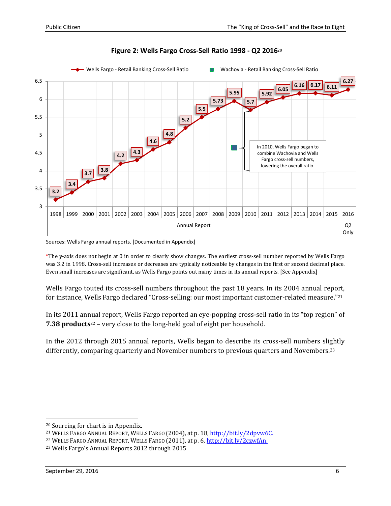

# **Figure 2: Wells Fargo Cross-Sell Ratio 1998 - Q2 2016**<sup>20</sup>

Sources: Wells Fargo annual reports. [Documented in Appendix]

\*The y-axis does not begin at 0 in order to clearly show changes. The earliest cross-sell number reported by Wells Fargo was 3.2 in 1998. Cross-sell increases or decreases are typically noticeable by changes in the first or second decimal place. Even small increases are significant, as Wells Fargo points out many times in its annual reports. [See Appendix]

Wells Fargo touted its cross-sell numbers throughout the past 18 years. In its 2004 annual report, for instance, Wells Fargo declared "Cross-selling: our most important customer-related measure."<sup>21</sup>

In its 2011 annual report, Wells Fargo reported an eye-popping cross-sell ratio in its "top region" of **7.38 products**<sup>22</sup> – very close to the long-held goal of eight per household.

In the 2012 through 2015 annual reports, Wells began to describe its cross-sell numbers slightly differently, comparing quarterly and November numbers to previous quarters and Novembers.<sup>23</sup>

<sup>20</sup> Sourcing for chart is in Appendix.

<sup>21</sup> WELLS FARGO ANNUAL REPORT, WELLS FARGO (2004), at p. 18[, http://bit.ly/2dpvw6C.](http://bit.ly/2dpvw6C)

<sup>&</sup>lt;sup>22</sup> WELLS FARGO ANNUAL REPORT, WELLS FARGO (2011), at p. 6[, http://bit.ly/2czwfAn.](http://bit.ly/2czwfAn)

<sup>23</sup> Wells Fargo's Annual Reports 2012 through 2015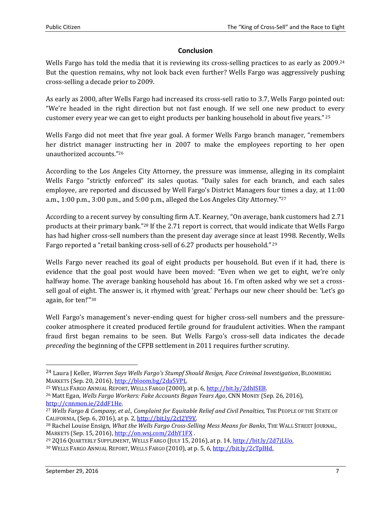## **Conclusion**

Wells Fargo has told the media that it is reviewing its cross-selling practices to as early as 2009.<sup>24</sup> But the question remains, why not look back even further? Wells Fargo was aggressively pushing cross-selling a decade prior to 2009.

As early as 2000, after Wells Fargo had increased its cross-sell ratio to 3.7, Wells Fargo pointed out: "We're headed in the right direction but not fast enough. If we sell one new product to every customer every year we can get to eight products per banking household in about five years." <sup>25</sup>

Wells Fargo did not meet that five year goal. A former Wells Fargo branch manager, "remembers" her district manager instructing her in 2007 to make the employees reporting to her open unauthorized accounts."<sup>26</sup>

According to the Los Angeles City Attorney, the pressure was immense, alleging in its complaint Wells Fargo "strictly enforced" its sales quotas. "Daily sales for each branch, and each sales employee, are reported and discussed by Well Fargo's District Managers four times a day, at 11:00 a.m., 1:00 p.m., 3:00 p.m., and 5:00 p.m., alleged the Los Angeles City Attorney." 27

According to a recent survey by consulting firm A.T. Kearney, "On average, bank customers had 2.71 products at their primary bank."<sup>28</sup> If the 2.71 report is correct, that would indicate that Wells Fargo has had higher cross-sell numbers than the present day average since at least 1998. Recently, Wells Fargo reported a "retail banking cross-sell of 6.27 products per household." <sup>29</sup>

Wells Fargo never reached its goal of eight products per household. But even if it had, there is evidence that the goal post would have been moved: "Even when we get to eight, we're only halfway home. The average banking household has about 16. I'm often asked why we set a crosssell goal of eight. The answer is, it rhymed with 'great.' Perhaps our new cheer should be: 'Let's go again, for ten!'" 30

Well Fargo's management's never-ending quest for higher cross-sell numbers and the pressurecooker atmosphere it created produced fertile ground for fraudulent activities. When the rampant fraud first began remains to be seen. But Wells Fargo's cross-sell data indicates the decade *preceding* the beginning of the CFPB settlement in 2011 requires further scrutiny.

<sup>25</sup> WELLS FARGO ANNUAL REPORT, WELLS FARGO (2000), at p. 6, [http://bit.ly/2dhISEB.](http://bit.ly/2dhISEB)

<sup>24</sup> Laura J Keller, *Warren Says Wells Fargo's Stumpf Should Resign, Face Criminal Investigation*, BLOOMBERG MARKETS (Sep. 20, 2016), <http://bloom.bg/2da5VPL>

<sup>26</sup> Matt Egan, *Wells Fargo Workers: Fake Accounts Began Years Ago*, CNN MONEY (Sep. 26, 2016), [http://cnnmon.ie/2ddF1He.](http://cnnmon.ie/2ddF1He)

<sup>27</sup> *Wells Fargo & Company, et al., Complaint for Equitable Relief and Civil Penalties,* THE PEOPLE OF THE STATE OF CALIFORNIA, (Sep. 6, 2016), at p. 2, [http://bit.ly/2cJ2Y9V.](http://bit.ly/2cJ2Y9V)

<sup>28</sup> Rachel Louise Ensign, *What the Wells Fargo Cross-Selling Mess Means for Banks*, THE WALL STREET JOURNAL, MARKETS (Sep. 15, 2016)[, http://on.wsj.com/2dhY1FX](http://on.wsj.com/2dhY1FX) .

<sup>&</sup>lt;sup>29</sup> 2Q16 QUARTERLY SUPPLEMENT, WELLS FARGO (JULY 15, 2016), at p. 14, http://bit.ly/2d7iLUo.

<sup>30</sup> WELLS FARGO ANNUAL REPORT, WELLS FARGO (2010), at p. 5, 6, [http://bit.ly/2cTplHd.](http://bit.ly/2cTplHd)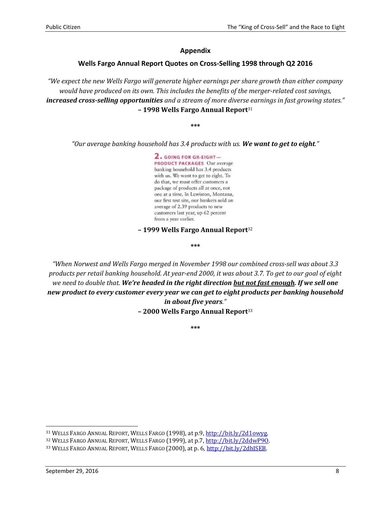#### **Appendix**

#### **Wells Fargo Annual Report Quotes on Cross-Selling 1998 through Q2 2016**

*"We expect the new Wells Fargo will generate higher earnings per share growth than either company would have produced on its own. This includes the benefits of the merger-related cost savings, increased cross-selling opportunities and a stream of more diverse earnings in fast growing states."* **– 1998 Wells Fargo Annual Report**<sup>31</sup>

**\*\*\***

*"Our average banking household has 3.4 products with us. We want to get to eight."*

2. GOING FOR GR-EIGHT-**PRODUCT PACKAGES Our average** banking household has 3.4 products with us. We want to get to eight. To do that, we must offer customers a package of products all at once, not one at a time. In Lewiston, Montana, our first test site, our bankers sold an average of 2.39 products to new customers last year, up 62 percent from a year earlier.

#### **– 1999 Wells Fargo Annual Report**<sup>32</sup>

**\*\*\***

*"When Norwest and Wells Fargo merged in November 1998 our combined cross-sell was about 3.3 products per retail banking household. At year-end 2000, it was about 3.7. To get to our goal of eight we need to double that. We're headed in the right direction but not fast enough. If we sell one new product to every customer every year we can get to eight products per banking household in about five years."*

**– 2000 Wells Fargo Annual Report**<sup>33</sup>

**\*\*\***

l

<sup>31</sup> WELLS FARGO ANNUAL REPORT, WELLS FARGO (1998), at p.9[, http://bit.ly/2d1owyg.](http://bit.ly/2d1owyg)

<sup>32</sup> WELLS FARGO ANNUAL REPORT, WELLS FARGO (1999), at p.7, http://bit.ly/2ddwP90.

<sup>33</sup> WELLS FARGO ANNUAL REPORT, WELLS FARGO (2000), at p. 6, [http://bit.ly/2dhISEB.](http://bit.ly/2dhISEB)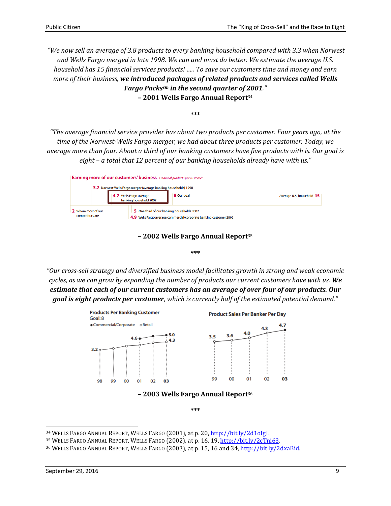*"We now sell an average of 3.8 products to every banking household compared with 3.3 when Norwest and Wells Fargo merged in late 1998. We can and must do better. We estimate the average U.S. household has 15 financial services products! ….. To save our customers time and money and earn more of their business, we introduced packages of related products and services called Wells Fargo Packssm in the second quarter of 2001."* **– 2001 Wells Fargo Annual Report**<sup>34</sup>

*"The average financial service provider has about two products per customer. Four years ago, at the time of the Norwest-Wells Fargo merger, we had about three products per customer. Today, we average more than four. About a third of our banking customers have five products with is. Our goal is eight – a total that 12 percent of our banking households already have with us."*

**\*\*\***

|                                                                  | <b>Earning more of our customers' business</b> Financial products per customer |                                                                    |                           |  |
|------------------------------------------------------------------|--------------------------------------------------------------------------------|--------------------------------------------------------------------|---------------------------|--|
| 3.2 Norwest-Wells Fargo merger (average banking households) 1998 |                                                                                |                                                                    |                           |  |
|                                                                  | Wells Fargo average<br>banking household 2002                                  | 8 Our goal                                                         | Average U.S. household 15 |  |
| 2 Where most of our<br>competitors are                           | 5 One third of our banking households 2002                                     | 4.9 Wells Fargo average commercial/corporate banking customer 2002 |                           |  |

#### **– 2002 Wells Fargo Annual Report**<sup>35</sup>

#### **\*\*\***

*"Our cross-sell strategy and diversified business model facilitates growth in strong and weak economic cycles, as we can grow by expanding the number of products our current customers have with us. We estimate that each of our current customers has an average of over four of our products. Our goal is eight products per customer, which is currently half of the estimated potential demand."*



**\*\*\***

l

<sup>34</sup> WELLS FARGO ANNUAL REPORT, WELLS FARGO (2001), at p. 20, [http://bit.ly/2d1oIgL.](http://bit.ly/2d1oIgL)

<sup>35</sup> WELLS FARGO ANNUAL REPORT, WELLS FARGO (2002), at p. 16, 19[, http://bit.ly/2cTni63.](http://bit.ly/2cTni63)

<sup>36</sup> WELLS FARGO ANNUAL REPORT, WELLS FARGO (2003), at p. 15, 16 and 34, [http://bit.ly/2dxaBid.](http://bit.ly/2dxaBid)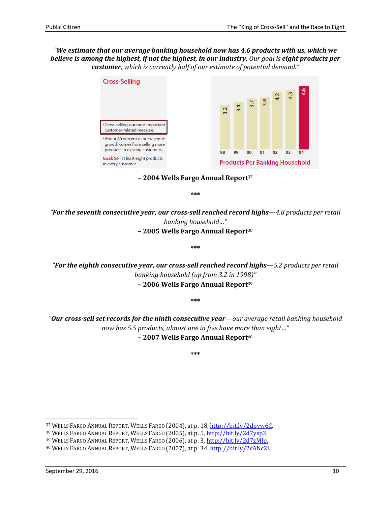### *"We estimate that our average banking household now has 4.6 products with us, which we believe is among the highest, if not the highest, in our industry. Our goal is eight products per customer, which is currently half of our estimate of potential demand."*



**– 2004 Wells Fargo Annual Report**<sup>37</sup>

**\*\*\***

*"For the seventh consecutive year, our cross-sell reached record highs—4.8 products per retail banking household…"* **– 2005 Wells Fargo Annual Report**<sup>38</sup>

**\*\*\***

*"For the eighth consecutive year, our cross-sell reached record highs—5.2 products per retail banking household (up from 3.2 in 1998)"* **– 2006 Wells Fargo Annual Report**<sup>39</sup>

**\*\*\***

*"Our cross-sell set records for the ninth consecutive year—our average retail banking household now has 5.5 products, almost one in five have more than eight…"* **– 2007 Wells Fargo Annual Report**<sup>40</sup>

**\*\*\***

<sup>37</sup> WELLS FARGO ANNUAL REPORT, WELLS FARGO (2004), at p. 18[, http://bit.ly/2dpvw6C.](http://bit.ly/2dpvw6C)

<sup>38</sup> WELLS FARGO ANNUAL REPORT, WELLS FARGO (2005), at p. 5[, http://bit.ly/2d7ysp3.](http://bit.ly/2d7ysp3)

<sup>39</sup> WELLS FARGO ANNUAL REPORT, WELLS FARGO (2006), at p. 3[, http://bit.ly/2d7zMIp.](http://bit.ly/2d7zMIp)

<sup>40</sup> WELLS FARGO ANNUAL REPORT, WELLS FARGO (2007), at p. 34[, http://bit.ly/2cANc2i.](http://bit.ly/2cANc2i)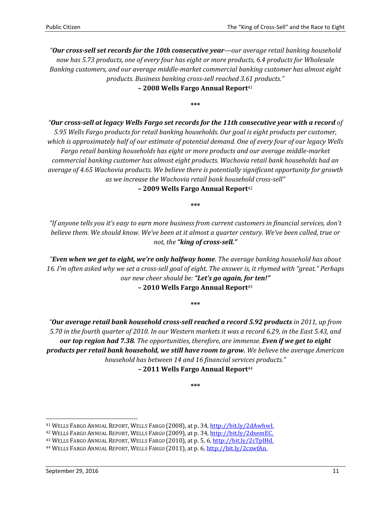*"Our cross-sell set records for the 10th consecutive year—our average retail banking household now has 5.73 products, one of every four has eight or more products, 6.4 products for Wholesale Banking customers, and our average middle-market commercial banking customer has almost eight products. Business banking cross-sell reached 3.61 products."* **– 2008 Wells Fargo Annual Report**<sup>41</sup>

**\*\*\***

*"Our cross-sell at legacy Wells Fargo set records for the 11th consecutive year with a record of 5.95 Wells Fargo products for retail banking households. Our goal is eight products per customer, which is approximately half of our estimate of potential demand. One of every four of our legacy Wells Fargo retail banking households has eight or more products and our average middle-market commercial banking customer has almost eight products. Wachovia retail bank households had an average of 4.65 Wachovia products. We believe there is potentially significant opportunity for growth as we increase the Wachovia retail bank household cross-sell"*

**– 2009 Wells Fargo Annual Report**<sup>42</sup>

**\*\*\***

*"If anyone tells you it's easy to earn more business from current customers in financial services, don't believe them. We should know. We've been at it almost a quarter century. We've been called, true or not, the "king of cross-sell."*

*"Even when we get to eight, we're only halfway home. The average banking household has about 16. I'm often asked why we set a cross-sell goal of eight. The answer is, it rhymed with "great." Perhaps our new cheer should be: "Let's go again, for ten!"* **– 2010 Wells Fargo Annual Report**<sup>43</sup>

**\*\*\***

*"Our average retail bank household cross-sell reached a record 5.92 products in 2011, up from 5.70 in the fourth quarter of 2010. In our Western markets it was a record 6.29, in the East 5.43, and our top region had 7.38. The opportunities, therefore, are immense. Even if we get to eight products per retail bank household, we still have room to grow. We believe the average American household has between 14 and 16 financial services products."*

**– 2011 Wells Fargo Annual Report**<sup>44</sup>

**\*\*\***

<sup>41</sup> WELLS FARGO ANNUAL REPORT, WELLS FARGO (2008), at p. 34[, http://bit.ly/2dAwhwI.](http://bit.ly/2dAwhwI)

<sup>42</sup> WELLS FARGO ANNUAL REPORT, WELLS FARGO (2009), at p. 34[, http://bit.ly/2dxemEC.](http://bit.ly/2dxemEC)

<sup>43</sup> WELLS FARGO ANNUAL REPORT, WELLS FARGO (2010), at p. 5, 6, [http://bit.ly/2cTplHd.](http://bit.ly/2cTplHd)

<sup>44</sup> WELLS FARGO ANNUAL REPORT, WELLS FARGO (2011), at p. 6[, http://bit.ly/2czwfAn.](http://bit.ly/2czwfAn)